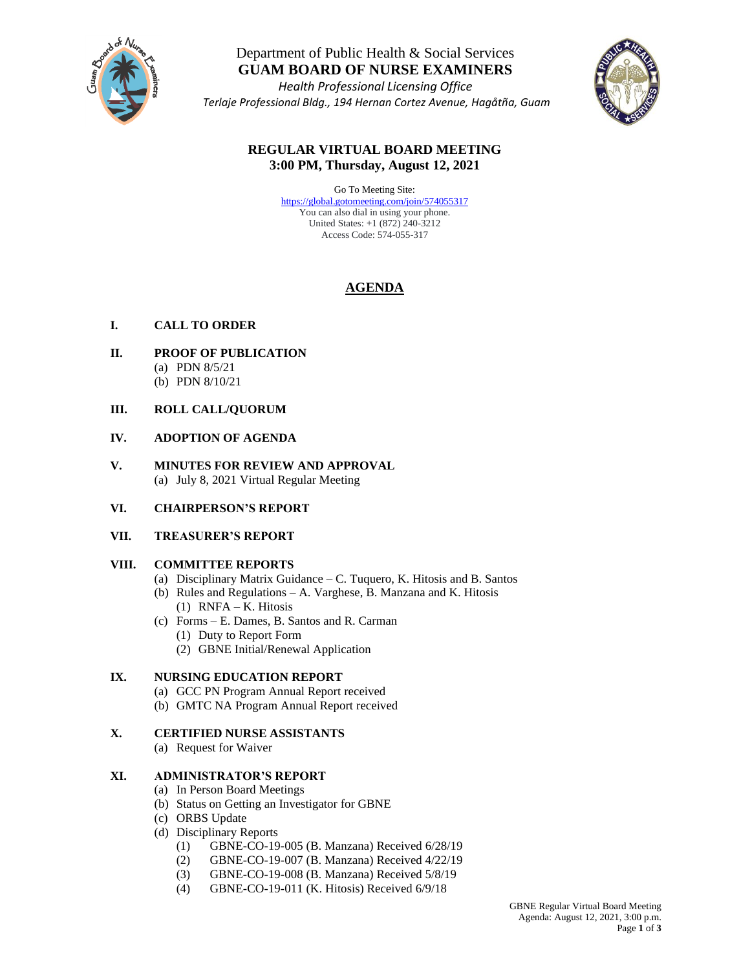

# Department of Public Health & Social Services **GUAM BOARD OF NURSE EXAMINERS**

*Health Professional Licensing Office Terlaje Professional Bldg., 194 Hernan Cortez Avenue, Hagåtña, Guam* 



# **REGULAR VIRTUAL BOARD MEETING 3:00 PM, Thursday, August 12, 2021**

Go To Meeting Site: <https://global.gotomeeting.com/join/574055317> You can also dial in using your phone. United States: +1 (872) 240-3212 Access Code: 574-055-317

# **AGENDA**

# **I. CALL TO ORDER**

- **II. PROOF OF PUBLICATION** (a) PDN 8/5/21
	- (b) PDN 8/10/21

## **III. ROLL CALL/QUORUM**

### **IV. ADOPTION OF AGENDA**

**V. MINUTES FOR REVIEW AND APPROVAL** (a) July 8, 2021 Virtual Regular Meeting

### **VI. CHAIRPERSON'S REPORT**

### **VII. TREASURER'S REPORT**

### **VIII. COMMITTEE REPORTS**

- (a) Disciplinary Matrix Guidance C. Tuquero, K. Hitosis and B. Santos
- (b) Rules and Regulations A. Varghese, B. Manzana and K. Hitosis (1) RNFA – K. Hitosis
- (c) Forms E. Dames, B. Santos and R. Carman (1) Duty to Report Form (2) GBNE Initial/Renewal Application

### **IX. NURSING EDUCATION REPORT**

- (a) GCC PN Program Annual Report received
- (b) GMTC NA Program Annual Report received

### **X. CERTIFIED NURSE ASSISTANTS**

(a) Request for Waiver

### **XI. ADMINISTRATOR'S REPORT**

- (a) In Person Board Meetings
- (b) Status on Getting an Investigator for GBNE
- (c) ORBS Update
- (d) Disciplinary Reports
	- (1) GBNE-CO-19-005 (B. Manzana) Received 6/28/19
	- (2) GBNE-CO-19-007 (B. Manzana) Received 4/22/19
	- (3) GBNE-CO-19-008 (B. Manzana) Received 5/8/19
	- (4) GBNE-CO-19-011 (K. Hitosis) Received 6/9/18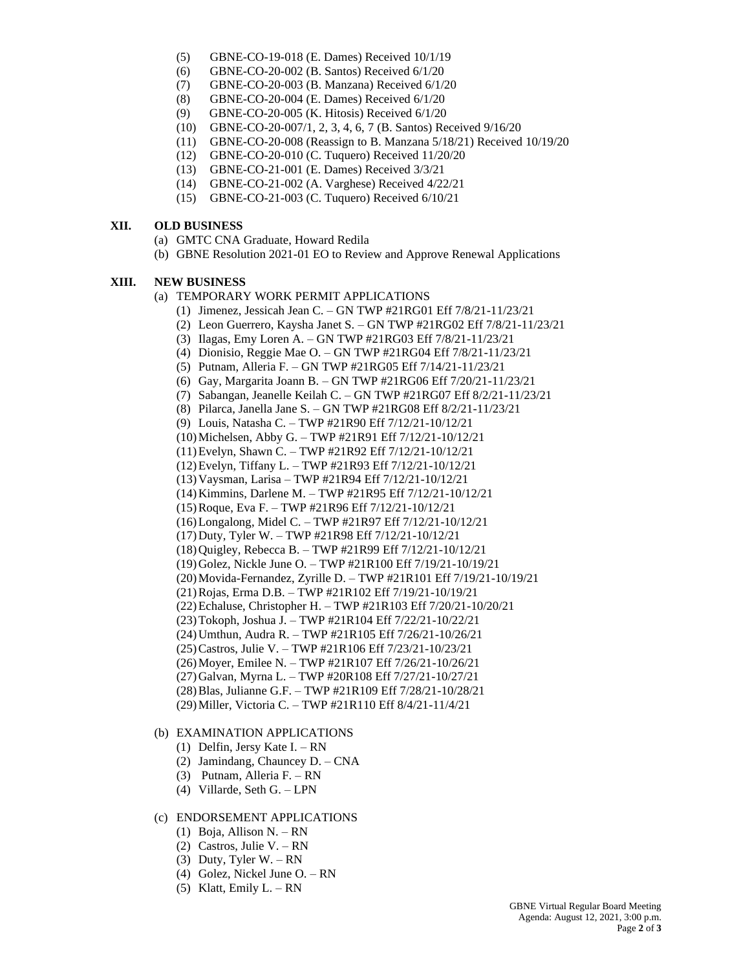- (5) GBNE-CO-19-018 (E. Dames) Received 10/1/19
- (6) GBNE-CO-20-002 (B. Santos) Received 6/1/20
- (7) GBNE-CO-20-003 (B. Manzana) Received 6/1/20
- (8) GBNE-CO-20-004 (E. Dames) Received 6/1/20
- (9) GBNE-CO-20-005 (K. Hitosis) Received 6/1/20
- (10) GBNE-CO-20-007/1, 2, 3, 4, 6, 7 (B. Santos) Received 9/16/20
- (11) GBNE-CO-20-008 (Reassign to B. Manzana 5/18/21) Received 10/19/20
- (12) GBNE-CO-20-010 (C. Tuquero) Received 11/20/20
- (13) GBNE-CO-21-001 (E. Dames) Received 3/3/21
- (14) GBNE-CO-21-002 (A. Varghese) Received 4/22/21
- (15) GBNE-CO-21-003 (C. Tuquero) Received 6/10/21

#### **XII. OLD BUSINESS**

- (a) GMTC CNA Graduate, Howard Redila
- (b) GBNE Resolution 2021-01 EO to Review and Approve Renewal Applications

#### **XIII. NEW BUSINESS**

- (a) TEMPORARY WORK PERMIT APPLICATIONS
	- (1) Jimenez, Jessicah Jean C. GN TWP #21RG01 Eff 7/8/21-11/23/21
	- (2) Leon Guerrero, Kaysha Janet S. GN TWP #21RG02 Eff 7/8/21-11/23/21
	- (3) Ilagas, Emy Loren A. GN TWP #21RG03 Eff 7/8/21-11/23/21
	- (4) Dionisio, Reggie Mae O. GN TWP #21RG04 Eff 7/8/21-11/23/21
	- (5) Putnam, Alleria F. GN TWP #21RG05 Eff 7/14/21-11/23/21
	- (6) Gay, Margarita Joann B. GN TWP #21RG06 Eff 7/20/21-11/23/21
	- (7) Sabangan, Jeanelle Keilah C. GN TWP #21RG07 Eff 8/2/21-11/23/21
	- (8) Pilarca, Janella Jane S. GN TWP #21RG08 Eff 8/2/21-11/23/21
	- (9) Louis, Natasha C. TWP #21R90 Eff 7/12/21-10/12/21
	- (10)Michelsen, Abby G. TWP #21R91 Eff 7/12/21-10/12/21
	- (11)Evelyn, Shawn C. TWP #21R92 Eff 7/12/21-10/12/21
	- (12)Evelyn, Tiffany L. TWP #21R93 Eff 7/12/21-10/12/21
	- (13)Vaysman, Larisa TWP #21R94 Eff 7/12/21-10/12/21
	- (14)Kimmins, Darlene M. TWP #21R95 Eff 7/12/21-10/12/21
	- (15)Roque, Eva F. TWP #21R96 Eff 7/12/21-10/12/21
	- (16)Longalong, Midel C. TWP #21R97 Eff 7/12/21-10/12/21
	- (17)Duty, Tyler W. TWP #21R98 Eff 7/12/21-10/12/21
	- (18)Quigley, Rebecca B. TWP #21R99 Eff 7/12/21-10/12/21
	- (19)Golez, Nickle June O. TWP #21R100 Eff 7/19/21-10/19/21
	- (20)Movida-Fernandez, Zyrille D. TWP #21R101 Eff 7/19/21-10/19/21
	- (21)Rojas, Erma D.B. TWP #21R102 Eff 7/19/21-10/19/21
	- (22)Echaluse, Christopher H. TWP #21R103 Eff 7/20/21-10/20/21
	- (23)Tokoph, Joshua J. TWP #21R104 Eff 7/22/21-10/22/21
	- (24)Umthun, Audra R. TWP #21R105 Eff 7/26/21-10/26/21
	- (25)Castros, Julie V. TWP #21R106 Eff 7/23/21-10/23/21
	- (26)Moyer, Emilee N. TWP #21R107 Eff 7/26/21-10/26/21
	- (27)Galvan, Myrna L. TWP #20R108 Eff 7/27/21-10/27/21
	- (28)Blas, Julianne G.F. TWP #21R109 Eff 7/28/21-10/28/21
	- (29)Miller, Victoria C. TWP #21R110 Eff 8/4/21-11/4/21

#### (b) EXAMINATION APPLICATIONS

- (1) Delfin, Jersy Kate I. RN
- (2) Jamindang, Chauncey D. CNA
- (3) Putnam, Alleria F. RN
- (4) Villarde, Seth G. LPN

#### (c) ENDORSEMENT APPLICATIONS

- (1) Boja, Allison N. RN
- (2) Castros, Julie V. RN
- (3) Duty, Tyler W. RN
- (4) Golez, Nickel June O. RN
- (5) Klatt, Emily  $L. RN$